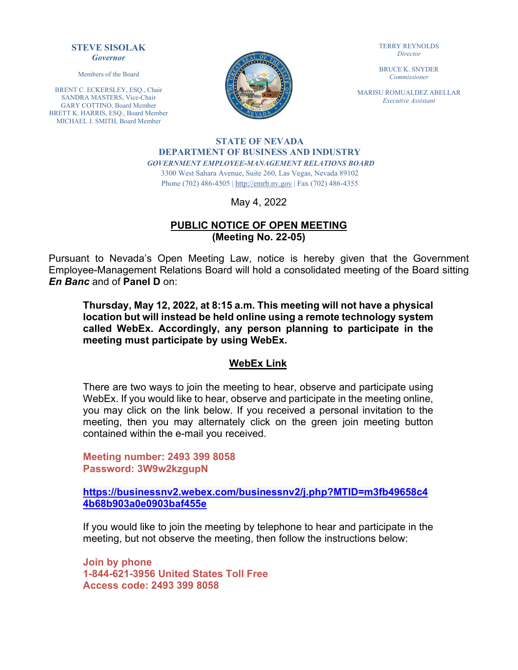#### **STEVE SISOLAK** *Governor*

Members of the Board

BRENT C. ECKERSLEY, ESQ., Chair SANDRA MASTERS, Vice-Chair GARY COTTINO, Board Member BRETT K. HARRIS, ESQ., Board Member MICHAEL J. SMITH, Board Member



TERRY REYNOLDS *Director*

BRUCE K. SNYDER *Commissioner*

MARISU ROMUALDEZ ABELLAR *Executive Assistant*

#### **STATE OF NEVADA DEPARTMENT OF BUSINESS AND INDUSTRY** *GOVERNMENT EMPLOYEE-MANAGEMENT RELATIONS BOARD*

3300 West Sahara Avenue, Suite 260, Las Vegas, Nevada 89102 Phone (702) 486-4505 | [http://emrb.nv.gov](http://emrb.nv.gov/) | Fax (702) 486-4355

May 4, 2022

## **PUBLIC NOTICE OF OPEN MEETING (Meeting No. 22-05)**

Pursuant to Nevada's Open Meeting Law, notice is hereby given that the Government Employee-Management Relations Board will hold a consolidated meeting of the Board sitting *En Banc* and of **Panel D** on:

**Thursday, May 12, 2022, at 8:15 a.m. This meeting will not have a physical location but will instead be held online using a remote technology system called WebEx. Accordingly, any person planning to participate in the meeting must participate by using WebEx.** 

### **WebEx Link**

There are two ways to join the meeting to hear, observe and participate using WebEx. If you would like to hear, observe and participate in the meeting online, you may click on the link below. If you received a personal invitation to the meeting, then you may alternately click on the green join meeting button contained within the e-mail you received.

**Meeting number: 2493 399 8058 Password: 3W9w2kzgupN**

**[https://businessnv2.webex.com/businessnv2/j.php?MTID=m3fb49658c4](https://businessnv2.webex.com/businessnv2/j.php?MTID=m3fb49658c44b68b903a0e0903baf455e) [4b68b903a0e0903baf455e](https://businessnv2.webex.com/businessnv2/j.php?MTID=m3fb49658c44b68b903a0e0903baf455e)**

If you would like to join the meeting by telephone to hear and participate in the meeting, but not observe the meeting, then follow the instructions below:

**Join by phone 1-844-621-3956 United States Toll Free Access code: 2493 399 8058**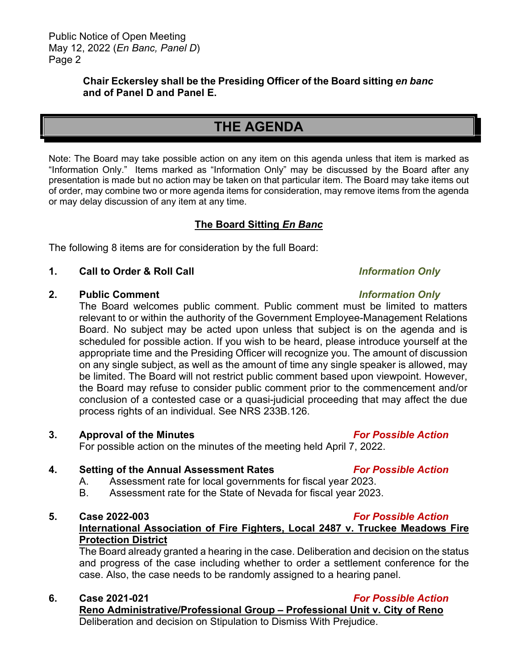## **Chair Eckersley shall be the Presiding Officer of the Board sitting** *en banc*  **and of Panel D and Panel E.**

# **THE AGENDA**

Note: The Board may take possible action on any item on this agenda unless that item is marked as "Information Only." Items marked as "Information Only" may be discussed by the Board after any presentation is made but no action may be taken on that particular item. The Board may take items out of order, may combine two or more agenda items for consideration, may remove items from the agenda or may delay discussion of any item at any time.

## **The Board Sitting** *En Banc*

The following 8 items are for consideration by the full Board:

### **1. Call to Order & Roll Call** *Information Only*

### **2. Public Comment** *Information Only*

The Board welcomes public comment. Public comment must be limited to matters relevant to or within the authority of the Government Employee-Management Relations Board. No subject may be acted upon unless that subject is on the agenda and is scheduled for possible action. If you wish to be heard, please introduce yourself at the appropriate time and the Presiding Officer will recognize you. The amount of discussion on any single subject, as well as the amount of time any single speaker is allowed, may be limited. The Board will not restrict public comment based upon viewpoint. However, the Board may refuse to consider public comment prior to the commencement and/or conclusion of a contested case or a quasi-judicial proceeding that may affect the due process rights of an individual. See NRS 233B.126.

#### **3. Approval of the Minutes** *For Possible Action*

For possible action on the minutes of the meeting held April 7, 2022.

### **4. Setting of the Annual Assessment Rates** *For Possible Action*

- A. Assessment rate for local governments for fiscal year 2023.
- B. Assessment rate for the State of Nevada for fiscal year 2023.

#### **5. Case 2022-003** *For Possible Action*

**International Association of Fire Fighters, Local 2487 v. Truckee Meadows Fire Protection District**

The Board already granted a hearing in the case. Deliberation and decision on the status and progress of the case including whether to order a settlement conference for the case. Also, the case needs to be randomly assigned to a hearing panel.

### **6. Case 2021-021** *For Possible Action*

**Reno Administrative/Professional Group – Professional Unit v. City of Reno** Deliberation and decision on Stipulation to Dismiss With Prejudice.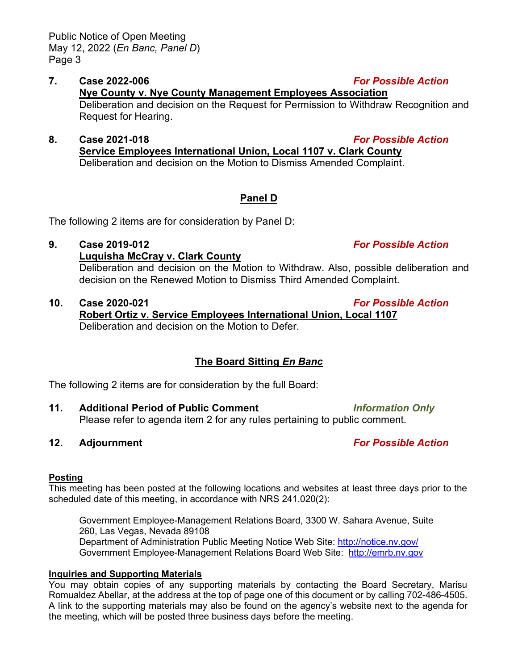### **7. Case 2022-006** *For Possible Action* **Nye County v. Nye County Management Employees Association** Deliberation and decision on the Request for Permission to Withdraw Recognition and Request for Hearing.

**8. Case 2021-018** *For Possible Action* **Service Employees International Union, Local 1107 v. Clark County** Deliberation and decision on the Motion to Dismiss Amended Complaint.

# **Panel D**

The following 2 items are for consideration by Panel D:

## **9. Case 2019-012** *For Possible Action*

## **Luquisha McCray v. Clark County**

Deliberation and decision on the Motion to Withdraw. Also, possible deliberation and decision on the Renewed Motion to Dismiss Third Amended Complaint.

## **10. Case 2020-021** *For Possible Action*

**Robert Ortiz v. Service Employees International Union, Local 1107** Deliberation and decision on the Motion to Defer.

# **The Board Sitting** *En Banc*

The following 2 items are for consideration by the full Board:

**11. Additional Period of Public Comment** *Information Only* Please refer to agenda item 2 for any rules pertaining to public comment.

## **12. Adjournment** *For Possible Action*

## **Posting**

This meeting has been posted at the following locations and websites at least three days prior to the scheduled date of this meeting, in accordance with NRS 241.020(2):

Government Employee-Management Relations Board, 3300 W. Sahara Avenue, Suite 260, Las Vegas, Nevada 89108 Department of Administration Public Meeting Notice Web Site:<http://notice.nv.gov/> Government Employee-Management Relations Board Web Site: http://emrb.nv.gov

## **Inquiries and Supporting Materials**

You may obtain copies of any supporting materials by contacting the Board Secretary, Marisu Romualdez Abellar, at the address at the top of page one of this document or by calling 702-486-4505. A link to the supporting materials may also be found on the agency's website next to the agenda for the meeting, which will be posted three business days before the meeting.